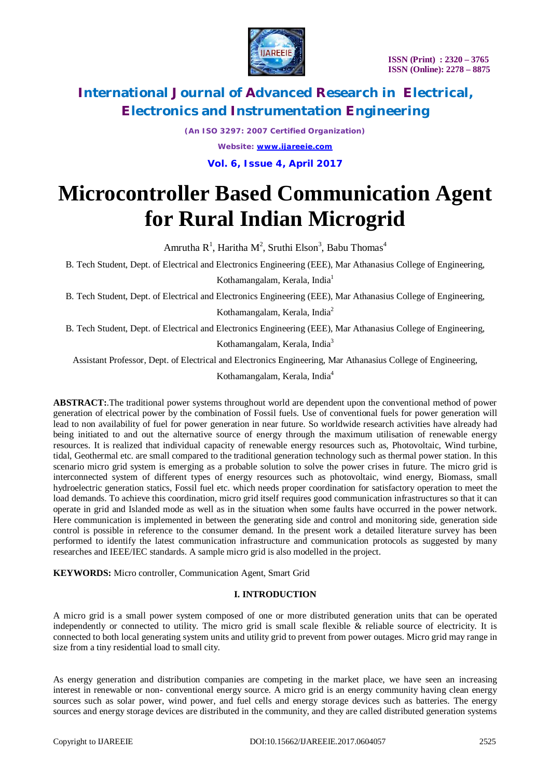

*(An ISO 3297: 2007 Certified Organization) Website: [www.ijareeie.com](http://www.ijareeie.com)* **Vol. 6, Issue 4, April 2017**

# **Microcontroller Based Communication Agent for Rural Indian Microgrid**

Amrutha R<sup>1</sup>, Haritha M<sup>2</sup>, Sruthi Elson<sup>3</sup>, Babu Thomas<sup>4</sup>

B. Tech Student, Dept. of Electrical and Electronics Engineering (EEE), Mar Athanasius College of Engineering,

Kothamangalam, Kerala, India<sup>1</sup>

B. Tech Student, Dept. of Electrical and Electronics Engineering (EEE), Mar Athanasius College of Engineering, Kothamangalam, Kerala, India<sup>2</sup>

B. Tech Student, Dept. of Electrical and Electronics Engineering (EEE), Mar Athanasius College of Engineering,

Kothamangalam, Kerala, India<sup>3</sup>

Assistant Professor, Dept. of Electrical and Electronics Engineering, Mar Athanasius College of Engineering,

Kothamangalam, Kerala, India<sup>4</sup>

**ABSTRACT:**.The traditional power systems throughout world are dependent upon the conventional method of power generation of electrical power by the combination of Fossil fuels. Use of conventional fuels for power generation will lead to non availability of fuel for power generation in near future. So worldwide research activities have already had being initiated to and out the alternative source of energy through the maximum utilisation of renewable energy resources. It is realized that individual capacity of renewable energy resources such as, Photovoltaic, Wind turbine, tidal, Geothermal etc. are small compared to the traditional generation technology such as thermal power station. In this scenario micro grid system is emerging as a probable solution to solve the power crises in future. The micro grid is interconnected system of different types of energy resources such as photovoltaic, wind energy, Biomass, small hydroelectric generation statics, Fossil fuel etc. which needs proper coordination for satisfactory operation to meet the load demands. To achieve this coordination, micro grid itself requires good communication infrastructures so that it can operate in grid and Islanded mode as well as in the situation when some faults have occurred in the power network. Here communication is implemented in between the generating side and control and monitoring side, generation side control is possible in reference to the consumer demand. In the present work a detailed literature survey has been performed to identify the latest communication infrastructure and communication protocols as suggested by many researches and IEEE/IEC standards. A sample micro grid is also modelled in the project.

**KEYWORDS:** Micro controller, Communication Agent, Smart Grid

## **I. INTRODUCTION**

A micro grid is a small power system composed of one or more distributed generation units that can be operated independently or connected to utility. The micro grid is small scale flexible & reliable source of electricity. It is connected to both local generating system units and utility grid to prevent from power outages. Micro grid may range in size from a tiny residential load to small city.

As energy generation and distribution companies are competing in the market place, we have seen an increasing interest in renewable or non- conventional energy source. A micro grid is an energy community having clean energy sources such as solar power, wind power, and fuel cells and energy storage devices such as batteries. The energy sources and energy storage devices are distributed in the community, and they are called distributed generation systems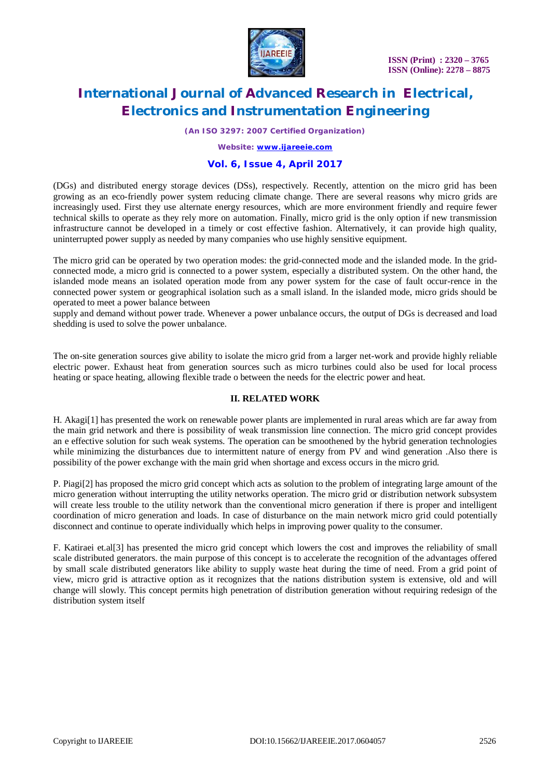

*(An ISO 3297: 2007 Certified Organization)*

*Website: [www.ijareeie.com](http://www.ijareeie.com)*

## **Vol. 6, Issue 4, April 2017**

(DGs) and distributed energy storage devices (DSs), respectively. Recently, attention on the micro grid has been growing as an eco-friendly power system reducing climate change. There are several reasons why micro grids are increasingly used. First they use alternate energy resources, which are more environment friendly and require fewer technical skills to operate as they rely more on automation. Finally, micro grid is the only option if new transmission infrastructure cannot be developed in a timely or cost effective fashion. Alternatively, it can provide high quality, uninterrupted power supply as needed by many companies who use highly sensitive equipment.

The micro grid can be operated by two operation modes: the grid-connected mode and the islanded mode. In the gridconnected mode, a micro grid is connected to a power system, especially a distributed system. On the other hand, the islanded mode means an isolated operation mode from any power system for the case of fault occur-rence in the connected power system or geographical isolation such as a small island. In the islanded mode, micro grids should be operated to meet a power balance between

supply and demand without power trade. Whenever a power unbalance occurs, the output of DGs is decreased and load shedding is used to solve the power unbalance.

The on-site generation sources give ability to isolate the micro grid from a larger net-work and provide highly reliable electric power. Exhaust heat from generation sources such as micro turbines could also be used for local process heating or space heating, allowing flexible trade o between the needs for the electric power and heat.

#### **II. RELATED WORK**

H. Akagi[1] has presented the work on renewable power plants are implemented in rural areas which are far away from the main grid network and there is possibility of weak transmission line connection. The micro grid concept provides an e effective solution for such weak systems. The operation can be smoothened by the hybrid generation technologies while minimizing the disturbances due to intermittent nature of energy from PV and wind generation. Also there is possibility of the power exchange with the main grid when shortage and excess occurs in the micro grid.

P. Piagi[2] has proposed the micro grid concept which acts as solution to the problem of integrating large amount of the micro generation without interrupting the utility networks operation. The micro grid or distribution network subsystem will create less trouble to the utility network than the conventional micro generation if there is proper and intelligent coordination of micro generation and loads. In case of disturbance on the main network micro grid could potentially disconnect and continue to operate individually which helps in improving power quality to the consumer.

F. Katiraei et.al[3] has presented the micro grid concept which lowers the cost and improves the reliability of small scale distributed generators. the main purpose of this concept is to accelerate the recognition of the advantages offered by small scale distributed generators like ability to supply waste heat during the time of need. From a grid point of view, micro grid is attractive option as it recognizes that the nations distribution system is extensive, old and will change will slowly. This concept permits high penetration of distribution generation without requiring redesign of the distribution system itself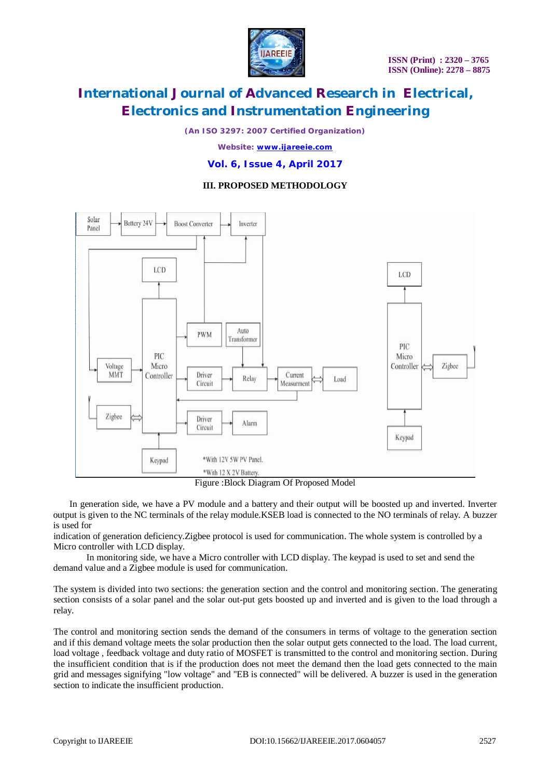

*(An ISO 3297: 2007 Certified Organization)*

*Website: [www.ijareeie.com](http://www.ijareeie.com)*

**Vol. 6, Issue 4, April 2017**

## **III. PROPOSED METHODOLOGY**



Figure :Block Diagram Of Proposed Model

In generation side, we have a PV module and a battery and their output will be boosted up and inverted. Inverter output is given to the NC terminals of the relay module.KSEB load is connected to the NO terminals of relay. A buzzer is used for

indication of generation deficiency.Zigbee protocol is used for communication. The whole system is controlled by a Micro controller with LCD display.

In monitoring side, we have a Micro controller with LCD display. The keypad is used to set and send the demand value and a Zigbee module is used for communication.

The system is divided into two sections: the generation section and the control and monitoring section. The generating section consists of a solar panel and the solar out-put gets boosted up and inverted and is given to the load through a relay.

The control and monitoring section sends the demand of the consumers in terms of voltage to the generation section and if this demand voltage meets the solar production then the solar output gets connected to the load. The load current, load voltage , feedback voltage and duty ratio of MOSFET is transmitted to the control and monitoring section. During the insufficient condition that is if the production does not meet the demand then the load gets connected to the main grid and messages signifying "low voltage" and "EB is connected" will be delivered. A buzzer is used in the generation section to indicate the insufficient production.